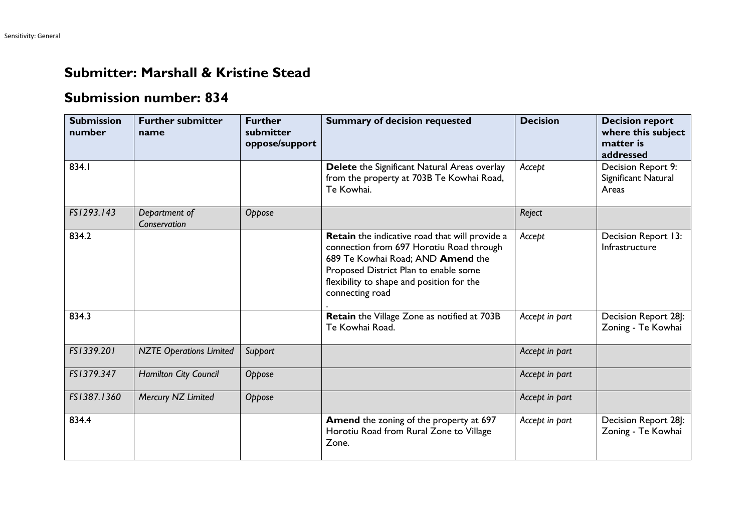## **Submitter: Marshall & Kristine Stead**

## **Submission number: 834**

| <b>Submission</b><br>number | <b>Further submitter</b><br>name | <b>Further</b><br>submitter<br>oppose/support | <b>Summary of decision requested</b>                                                                                                                                                                                                     | <b>Decision</b> | <b>Decision report</b><br>where this subject<br>matter is<br>addressed |
|-----------------------------|----------------------------------|-----------------------------------------------|------------------------------------------------------------------------------------------------------------------------------------------------------------------------------------------------------------------------------------------|-----------------|------------------------------------------------------------------------|
| 834.1                       |                                  |                                               | Delete the Significant Natural Areas overlay<br>from the property at 703B Te Kowhai Road,<br>Te Kowhai.                                                                                                                                  | Accept          | Decision Report 9:<br>Significant Natural<br>Areas                     |
| FS1293.143                  | Department of<br>Conservation    | Oppose                                        |                                                                                                                                                                                                                                          | Reject          |                                                                        |
| 834.2                       |                                  |                                               | Retain the indicative road that will provide a<br>connection from 697 Horotiu Road through<br>689 Te Kowhai Road; AND Amend the<br>Proposed District Plan to enable some<br>flexibility to shape and position for the<br>connecting road | Accept          | Decision Report 13:<br>Infrastructure                                  |
| 834.3                       |                                  |                                               | Retain the Village Zone as notified at 703B<br>Te Kowhai Road.                                                                                                                                                                           | Accept in part  | Decision Report 28]:<br>Zoning - Te Kowhai                             |
| FS1339.201                  | <b>NZTE Operations Limited</b>   | Support                                       |                                                                                                                                                                                                                                          | Accept in part  |                                                                        |
| FS1379.347                  | Hamilton City Council            | Oppose                                        |                                                                                                                                                                                                                                          | Accept in part  |                                                                        |
| FS1387.1360                 | Mercury NZ Limited               | Oppose                                        |                                                                                                                                                                                                                                          | Accept in part  |                                                                        |
| 834.4                       |                                  |                                               | Amend the zoning of the property at 697<br>Horotiu Road from Rural Zone to Village<br>Zone.                                                                                                                                              | Accept in part  | Decision Report 28J:<br>Zoning - Te Kowhai                             |